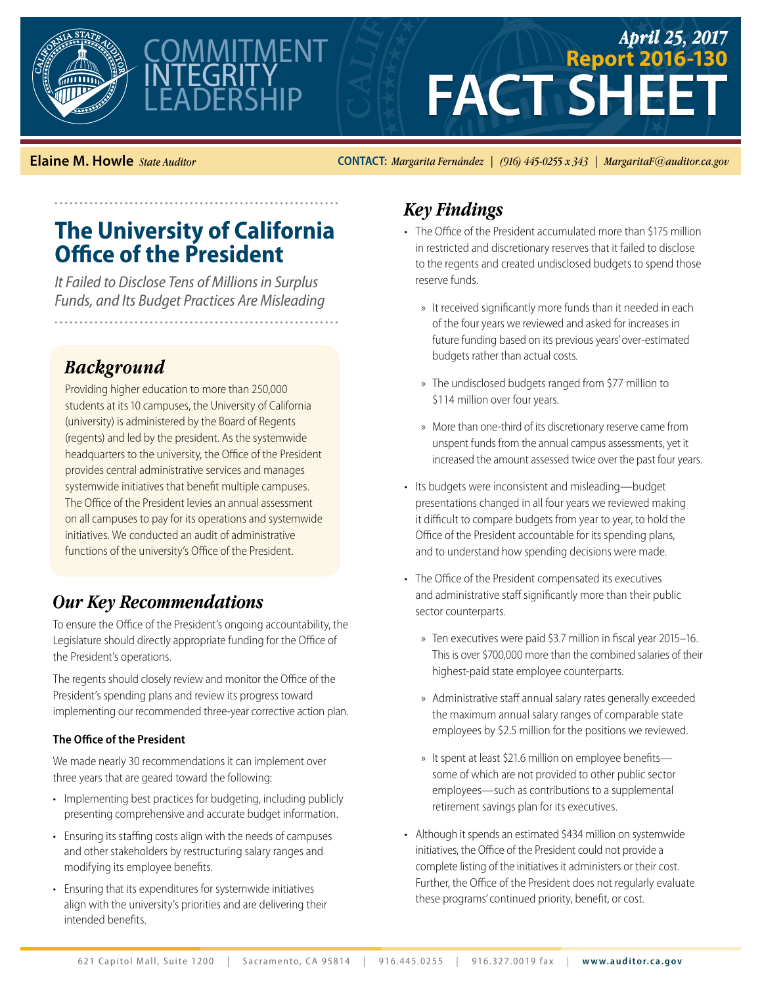



# **FACT SHEET** *April 25, 2017* **Report 2016-130**

**Elaine M. Howle** *State Auditor* **CONTACT:** *Margarita Fernández | (916) 445-0255 x 343 | MargaritaF@auditor.ca.gov*

## **The University of California Office of the President**

*It Failed to Disclose Tens of Millions in Surplus Funds, and Its Budget Practices Are Misleading* 

#### *Background*

Providing higher education to more than 250,000 students at its 10 campuses, the University of California (university) is administered by the Board of Regents (regents) and led by the president. As the systemwide headquarters to the university, the Office of the President provides central administrative services and manages systemwide initiatives that benefit multiple campuses. The Office of the President levies an annual assessment on all campuses to pay for its operations and systemwide initiatives. We conducted an audit of administrative functions of the university's Office of the President.

#### *Our Key Recommendations*

To ensure the Office of the President's ongoing accountability, the Legislature should directly appropriate funding for the Office of the President's operations.

The regents should closely review and monitor the Office of the President's spending plans and review its progress toward implementing our recommended three-year corrective action plan.

#### **The Office of the President**

We made nearly 30 recommendations it can implement over three years that are geared toward the following:

- Implementing best practices for budgeting, including publicly presenting comprehensive and accurate budget information.
- Ensuring its staffing costs align with the needs of campuses and other stakeholders by restructuring salary ranges and modifying its employee benefits.
- Ensuring that its expenditures for systemwide initiatives align with the university's priorities and are delivering their intended benefits.

### *Key Findings*

- The Office of the President accumulated more than \$175 million in restricted and discretionary reserves that it failed to disclose to the regents and created undisclosed budgets to spend those reserve funds.
	- » It received significantly more funds than it needed in each of the four years we reviewed and asked for increases in future funding based on its previous years' over-estimated budgets rather than actual costs.
	- » The undisclosed budgets ranged from \$77 million to \$114 million over four years.
	- » More than one-third of its discretionary reserve came from unspent funds from the annual campus assessments, yet it increased the amount assessed twice over the past four years.
- Its budgets were inconsistent and misleading—budget presentations changed in all four years we reviewed making it difficult to compare budgets from year to year, to hold the Office of the President accountable for its spending plans, and to understand how spending decisions were made.
- The Office of the President compensated its executives and administrative staff significantly more than their public sector counterparts.
	- » Ten executives were paid \$3.7 million in fiscal year 2015–16. This is over \$700,000 more than the combined salaries of their highest-paid state employee counterparts.
	- » Administrative staff annual salary rates generally exceeded the maximum annual salary ranges of comparable state employees by \$2.5 million for the positions we reviewed.
	- » It spent at least \$21.6 million on employee benefits some of which are not provided to other public sector employees—such as contributions to a supplemental retirement savings plan for its executives.
- Although it spends an estimated \$434 million on systemwide initiatives, the Office of the President could not provide a complete listing of the initiatives it administers or their cost. Further, the Office of the President does not regularly evaluate these programs' continued priority, benefit, or cost.